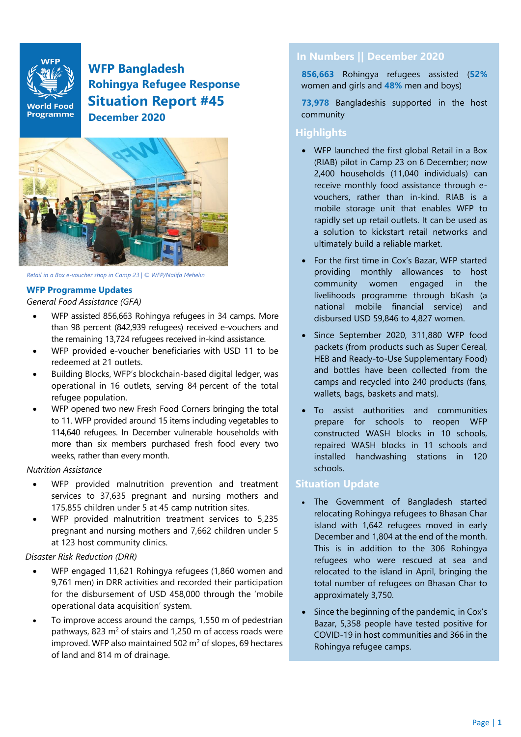

**WFP Bangladesh Rohingya Refugee Response Situation Report #45 December 2020**



*Retail in a Box e-voucher shop in Camp 23 | © WFP/Nalifa Mehelin*

#### **WFP Programme Updates**

*General Food Assistance (GFA)*

- WFP assisted 856,663 Rohingya refugees in 34 camps. More than 98 percent (842,939 refugees) received e-vouchers and the remaining 13,724 refugees received in-kind assistance.
- WFP provided e-voucher beneficiaries with USD 11 to be redeemed at 21 outlets.
- Building Blocks, WFP's blockchain-based digital ledger, was operational in 16 outlets, serving 84 percent of the total refugee population.
- WFP opened two new Fresh Food Corners bringing the total to 11. WFP provided around 15 items including vegetables to 114,640 refugees. In December vulnerable households with more than six members purchased fresh food every two weeks, rather than every month.

#### *Nutrition Assistance*

- WFP provided malnutrition prevention and treatment services to 37,635 pregnant and nursing mothers and 175,855 children under 5 at 45 camp nutrition sites.
- WFP provided malnutrition treatment services to 5,235 pregnant and nursing mothers and 7,662 children under 5 at 123 host community clinics.

#### *Disaster Risk Reduction (DRR)*

- WFP engaged 11,621 Rohingya refugees (1,860 women and 9,761 men) in DRR activities and recorded their participation for the disbursement of USD 458,000 through the 'mobile operational data acquisition' system.
- To improve access around the camps, 1,550 m of pedestrian pathways, 823  $m^2$  of stairs and 1,250 m of access roads were improved. WFP also maintained 502  $m<sup>2</sup>$  of slopes, 69 hectares of land and 814 m of drainage.

# **In Numbers || December 2020**

**856,663** Rohingya refugees assisted (**52%**  women and girls and **48%** men and boys)

**73,978** Bangladeshis supported in the host community

## **Highlights**

- WFP launched the first global Retail in a Box (RIAB) pilot in Camp 23 on 6 December; now 2,400 households (11,040 individuals) can receive monthly food assistance through evouchers, rather than in-kind. RIAB is a mobile storage unit that enables WFP to rapidly set up retail outlets. It can be used as a solution to kickstart retail networks and ultimately build a reliable market.
- For the first time in Cox's Bazar, WFP started providing monthly allowances to host community women engaged in the livelihoods programme through bKash (a national mobile financial service) and disbursed USD 59,846 to 4,827 women.
- Since September 2020, 311,880 WFP food packets (from products such as Super Cereal, HEB and Ready-to-Use Supplementary Food) and bottles have been collected from the camps and recycled into 240 products (fans, wallets, bags, baskets and mats).
- To assist authorities and communities prepare for schools to reopen WFP constructed WASH blocks in 10 schools, repaired WASH blocks in 11 schools and installed handwashing stations in 120 schools.

# **Situation Update**

- The Government of Bangladesh started relocating Rohingya refugees to Bhasan Char island with 1,642 refugees moved in early December and 1,804 at the end of the month. This is in addition to the 306 Rohingya refugees who were rescued at sea and relocated to the island in April, bringing the total number of refugees on Bhasan Char to approximately 3,750.
- Since the beginning of the pandemic, in Cox's Bazar, 5,358 people have tested positive for COVID-19 in host communities and 366 in the Rohingya refugee camps.